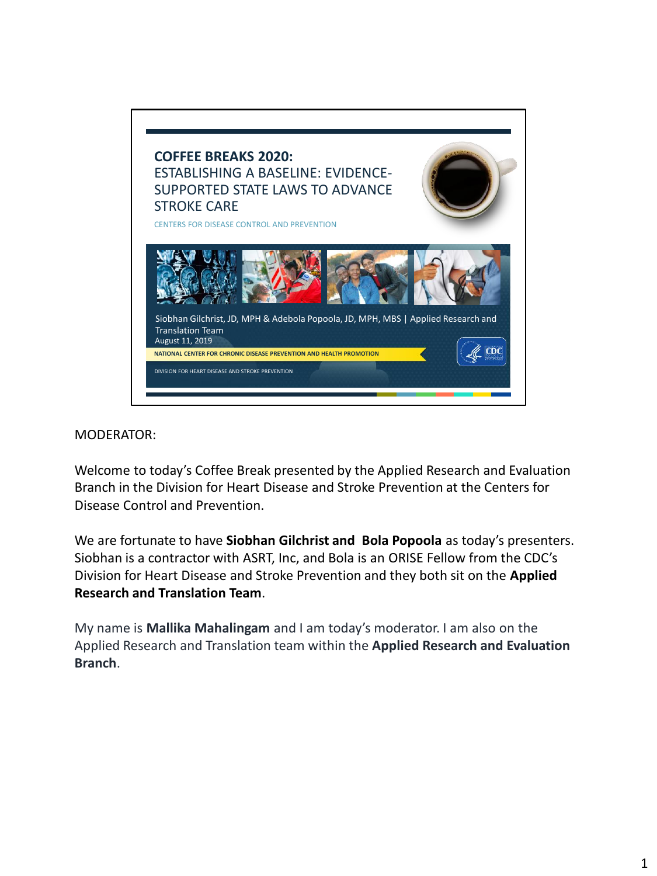

### MODERATOR:

Welcome to today's Coffee Break presented by the Applied Research and Evaluation Branch in the Division for Heart Disease and Stroke Prevention at the Centers for Disease Control and Prevention.

We are fortunate to have **Siobhan Gilchrist and Bola Popoola** as today's presenters. Siobhan is a contractor with ASRT, Inc, and Bola is an ORISE Fellow from the CDC's Division for Heart Disease and Stroke Prevention and they both sit on the **Applied Research and Translation Team**.

My name is **Mallika Mahalingam** and I am today's moderator. I am also on the Applied Research and Translation team within the **Applied Research and Evaluation Branch**.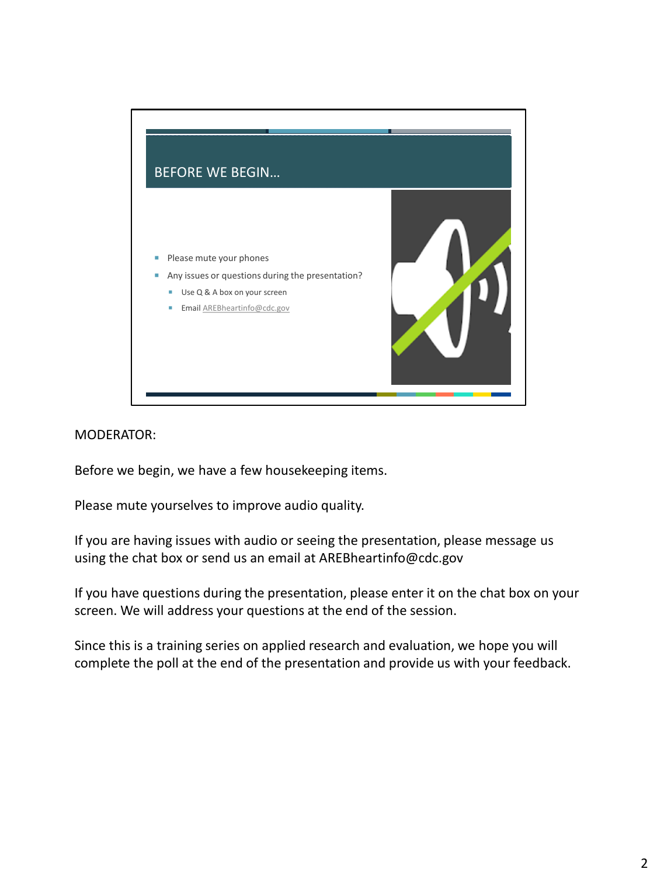

MODERATOR:

Before we begin, we have a few housekeeping items.

Please mute yourselves to improve audio quality.

If you are having issues with audio or seeing the presentation, please message us using the chat box or send us an email at AREBheartinfo@cdc.gov

If you have questions during the presentation, please enter it on the chat box on your screen. We will address your questions at the end of the session.

Since this is a training series on applied research and evaluation, we hope you will complete the poll at the end of the presentation and provide us with your feedback.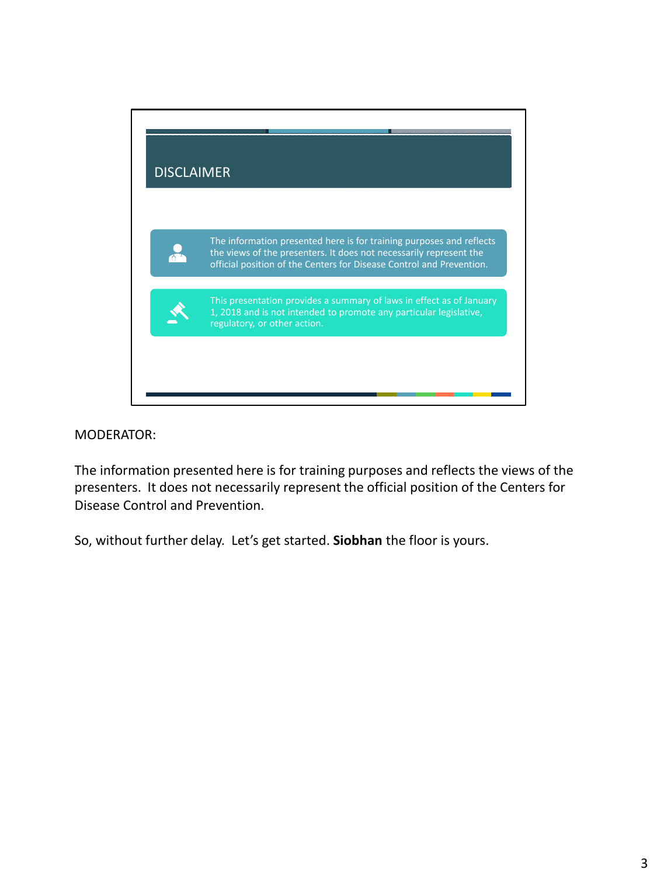

#### MODERATOR:

The information presented here is for training purposes and reflects the views of the presenters. It does not necessarily represent the official position of the Centers for Disease Control and Prevention.

So, without further delay. Let's get started. **Siobhan** the floor is yours.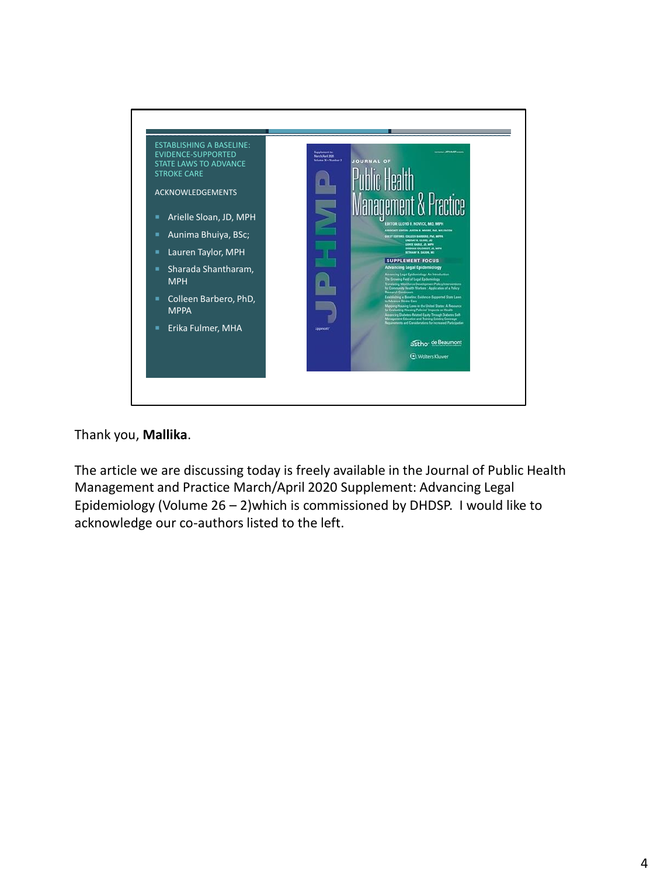

## Thank you, **Mallika**.

The article we are discussing today is freely available in the Journal of Public Health Management and Practice March/April 2020 Supplement: Advancing Legal Epidemiology (Volume 26 – 2)which is commissioned by DHDSP. I would like to acknowledge our co-authors listed to the left.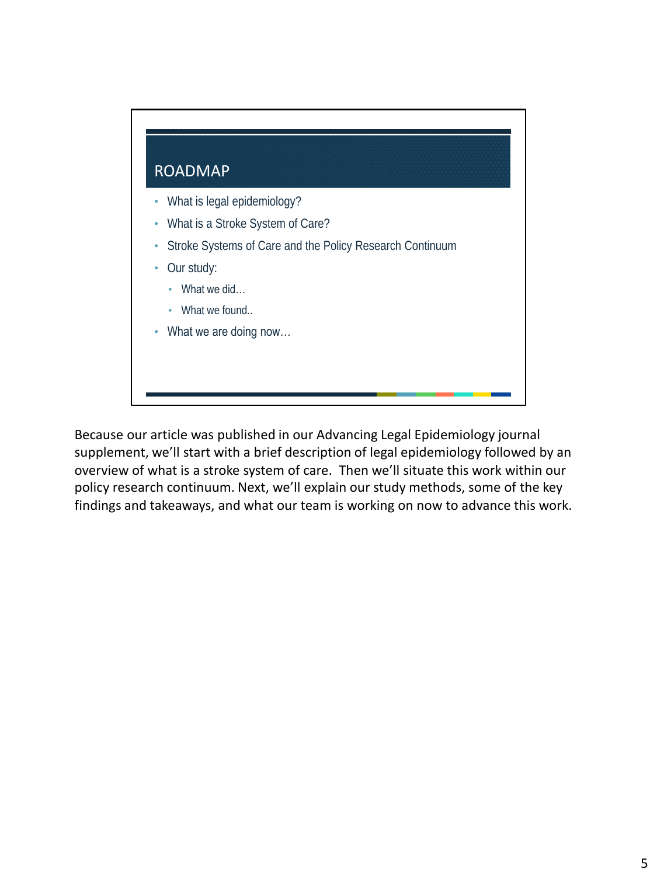

Because our article was published in our Advancing Legal Epidemiology journal supplement, we'll start with a brief description of legal epidemiology followed by an overview of what is a stroke system of care. Then we'll situate this work within our policy research continuum. Next, we'll explain our study methods, some of the key findings and takeaways, and what our team is working on now to advance this work.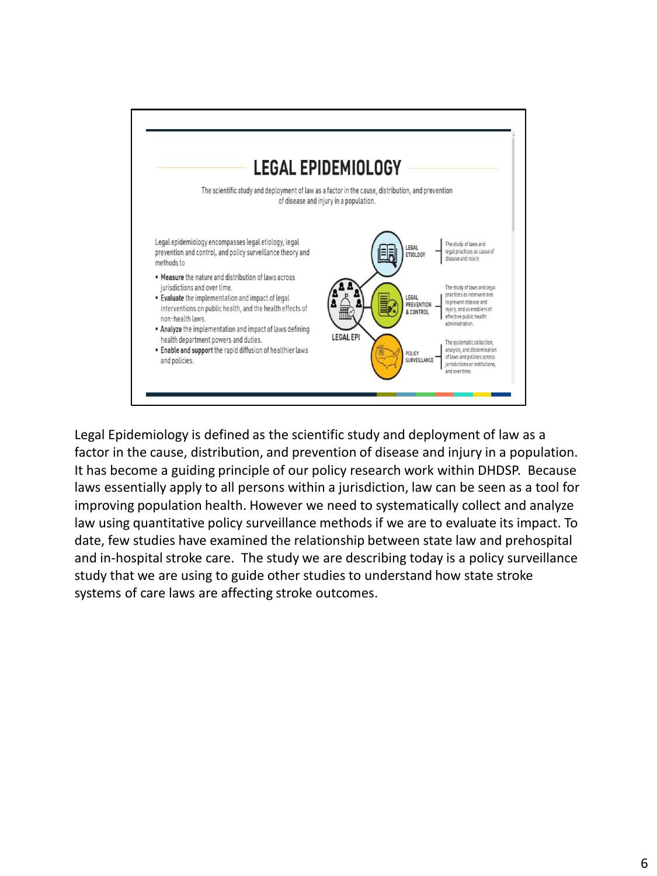

Legal Epidemiology is defined as the scientific study and deployment of law as a factor in the cause, distribution, and prevention of disease and injury in a population. It has become a guiding principle of our policy research work within DHDSP. Because laws essentially apply to all persons within a jurisdiction, law can be seen as a tool for improving population health. However we need to systematically collect and analyze law using quantitative policy surveillance methods if we are to evaluate its impact. To date, few studies have examined the relationship between state law and prehospital and in-hospital stroke care. The study we are describing today is a policy surveillance study that we are using to guide other studies to understand how state stroke systems of care laws are affecting stroke outcomes.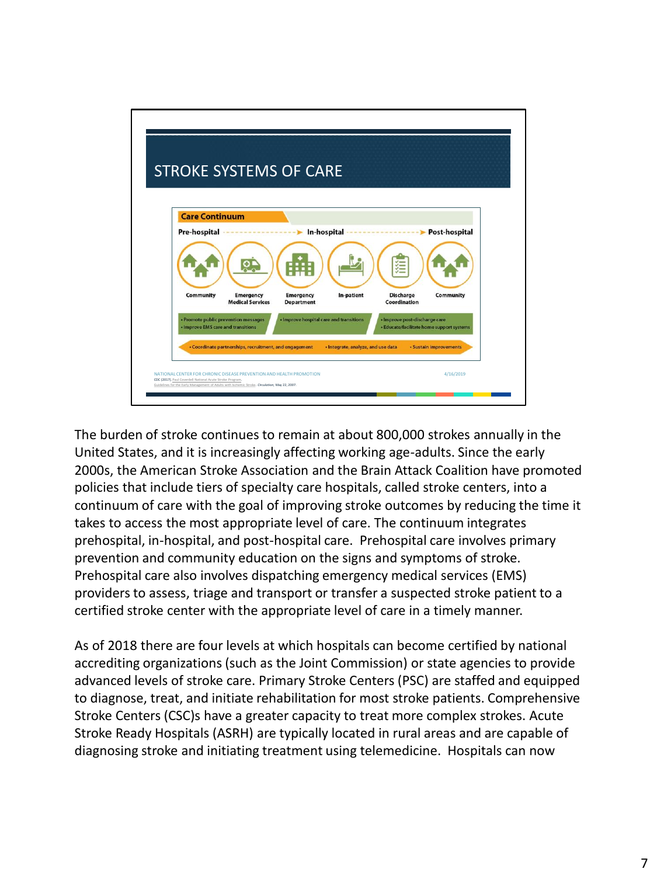

The burden of stroke continues to remain at about 800,000 strokes annually in the United States, and it is increasingly affecting working age-adults. Since the early 2000s, the American Stroke Association and the Brain Attack Coalition have promoted policies that include tiers of specialty care hospitals, called stroke centers, into a continuum of care with the goal of improving stroke outcomes by reducing the time it takes to access the most appropriate level of care. The continuum integrates prehospital, in-hospital, and post-hospital care. Prehospital care involves primary prevention and community education on the signs and symptoms of stroke. Prehospital care also involves dispatching emergency medical services (EMS) providers to assess, triage and transport or transfer a suspected stroke patient to a certified stroke center with the appropriate level of care in a timely manner.

As of 2018 there are four levels at which hospitals can become certified by national accrediting organizations (such as the Joint Commission) or state agencies to provide advanced levels of stroke care. Primary Stroke Centers (PSC) are staffed and equipped to diagnose, treat, and initiate rehabilitation for most stroke patients. Comprehensive Stroke Centers (CSC)s have a greater capacity to treat more complex strokes. Acute Stroke Ready Hospitals (ASRH) are typically located in rural areas and are capable of diagnosing stroke and initiating treatment using telemedicine. Hospitals can now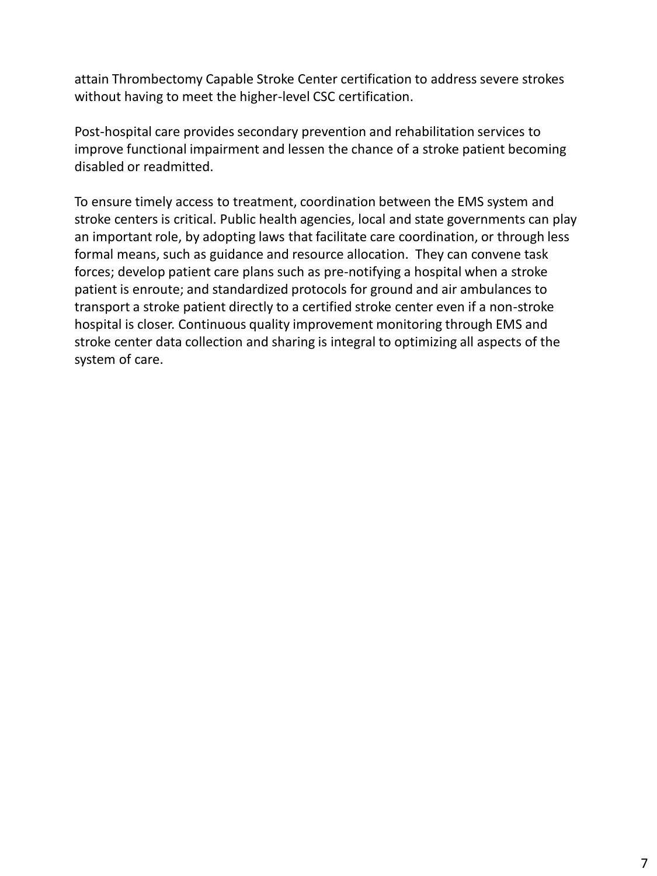attain Thrombectomy Capable Stroke Center certification to address severe strokes without having to meet the higher-level CSC certification.

Post-hospital care provides secondary prevention and rehabilitation services to improve functional impairment and lessen the chance of a stroke patient becoming disabled or readmitted.

To ensure timely access to treatment, coordination between the EMS system and stroke centers is critical. Public health agencies, local and state governments can play an important role, by adopting laws that facilitate care coordination, or through less formal means, such as guidance and resource allocation. They can convene task forces; develop patient care plans such as pre-notifying a hospital when a stroke patient is enroute; and standardized protocols for ground and air ambulances to transport a stroke patient directly to a certified stroke center even if a non-stroke hospital is closer. Continuous quality improvement monitoring through EMS and stroke center data collection and sharing is integral to optimizing all aspects of the system of care.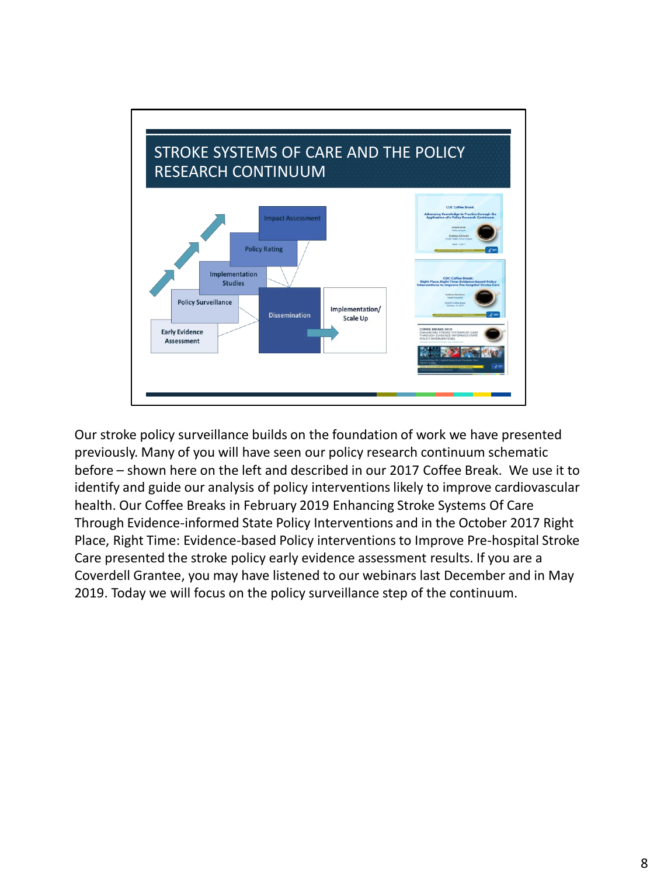

Our stroke policy surveillance builds on the foundation of work we have presented previously. Many of you will have seen our policy research continuum schematic before – shown here on the left and described in our 2017 Coffee Break. We use it to identify and guide our analysis of policy interventions likely to improve cardiovascular health. Our Coffee Breaks in February 2019 Enhancing Stroke Systems Of Care Through Evidence-informed State Policy Interventions and in the October 2017 Right Place, Right Time: Evidence-based Policy interventions to Improve Pre-hospital Stroke Care presented the stroke policy early evidence assessment results. If you are a Coverdell Grantee, you may have listened to our webinars last December and in May 2019. Today we will focus on the policy surveillance step of the continuum.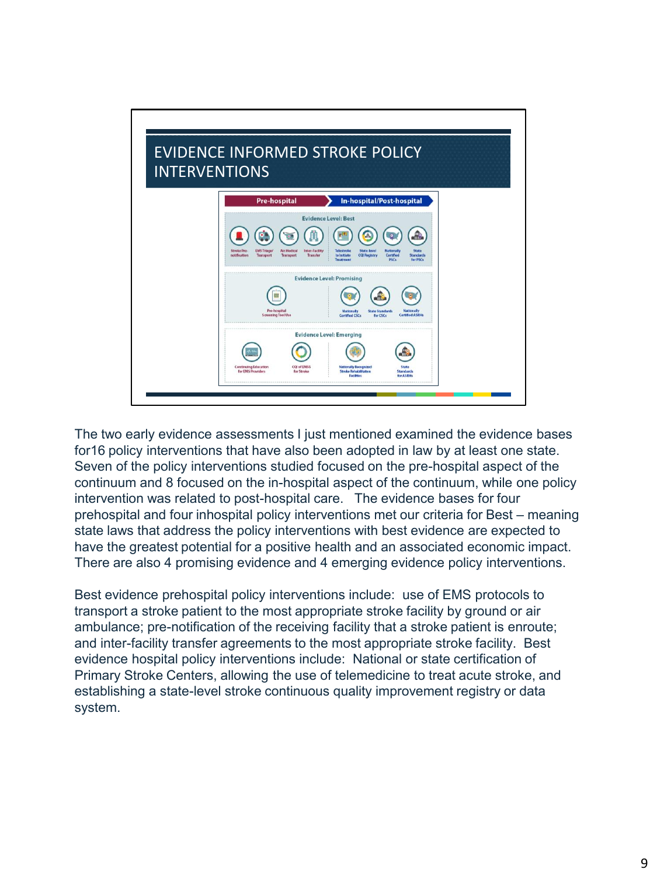

The two early evidence assessments I just mentioned examined the evidence bases for16 policy interventions that have also been adopted in law by at least one state. Seven of the policy interventions studied focused on the pre-hospital aspect of the continuum and 8 focused on the in-hospital aspect of the continuum, while one policy intervention was related to post-hospital care. The evidence bases for four prehospital and four inhospital policy interventions met our criteria for Best – meaning state laws that address the policy interventions with best evidence are expected to have the greatest potential for a positive health and an associated economic impact. There are also 4 promising evidence and 4 emerging evidence policy interventions.

Best evidence prehospital policy interventions include: use of EMS protocols to transport a stroke patient to the most appropriate stroke facility by ground or air ambulance; pre-notification of the receiving facility that a stroke patient is enroute; and inter-facility transfer agreements to the most appropriate stroke facility. Best evidence hospital policy interventions include: National or state certification of Primary Stroke Centers, allowing the use of telemedicine to treat acute stroke, and establishing a state-level stroke continuous quality improvement registry or data system.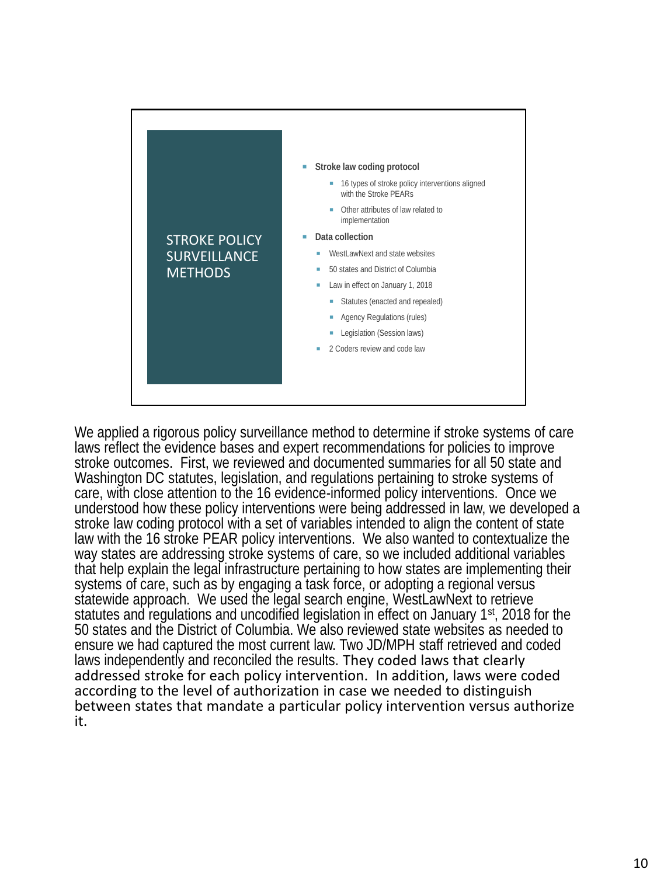

We applied a rigorous policy surveillance method to determine if stroke systems of care laws reflect the evidence bases and expert recommendations for policies to improve stroke outcomes. First, we reviewed and documented summaries for all 50 state and Washington DC statutes, legislation, and regulations pertaining to stroke systems of care, with close attention to the 16 evidence-informed policy interventions. Once we understood how these policy interventions were being addressed in law, we developed a stroke law coding protocol with a set of variables intended to align the content of state law with the 16 stroke PEAR policy interventions. We also wanted to contextualize the way states are addressing stroke systems of care, so we included additional variables that help explain the legal infrastructure pertaining to how states are implementing their systems of care, such as by engaging a task force, or adopting a regional versus statewide approach. We used the legal search engine, WestLawNext to retrieve statutes and regulations and uncodified legislation in effect on January 1st, 2018 for the 50 states and the District of Columbia. We also reviewed state websites as needed to ensure we had captured the most current law. Two JD/MPH staff retrieved and coded laws independently and reconciled the results. They coded laws that clearly addressed stroke for each policy intervention. In addition, laws were coded according to the level of authorization in case we needed to distinguish between states that mandate a particular policy intervention versus authorize it.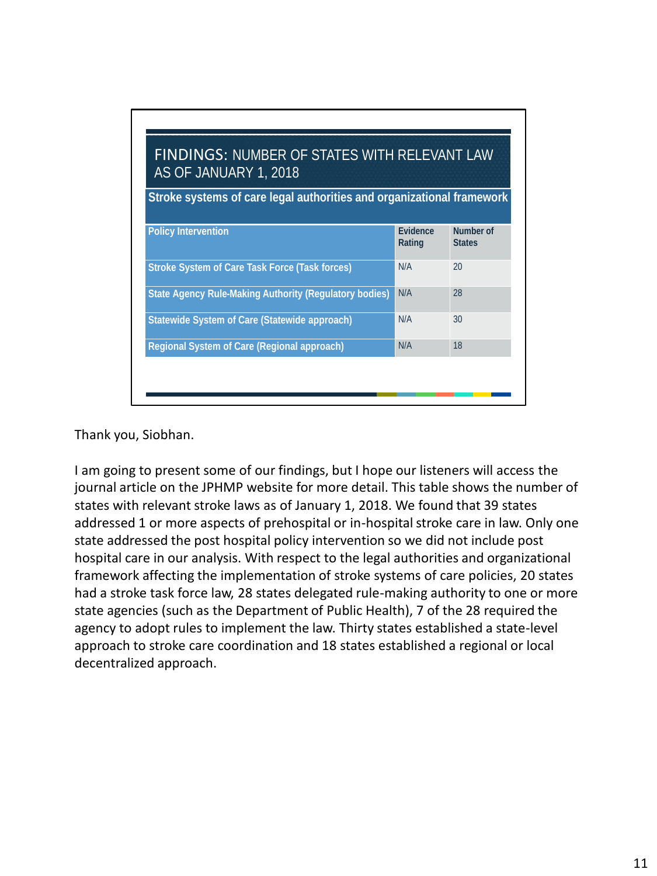| <b>FINDINGS: NUMBER OF STATES WITH RELEVANT LAW</b><br>AS OF JANUARY 1, 2018<br>Stroke systems of care legal authorities and organizational framework |     |    |  |  |
|-------------------------------------------------------------------------------------------------------------------------------------------------------|-----|----|--|--|
|                                                                                                                                                       |     |    |  |  |
| Stroke System of Care Task Force (Task forces)                                                                                                        | N/A | 20 |  |  |
| State Agency Rule-Making Authority (Regulatory bodies)                                                                                                | N/A | 28 |  |  |
| Statewide System of Care (Statewide approach)                                                                                                         | N/A | 30 |  |  |
| Regional System of Care (Regional approach)                                                                                                           | N/A | 18 |  |  |

Thank you, Siobhan.

I am going to present some of our findings, but I hope our listeners will access the journal article on the JPHMP website for more detail. This table shows the number of states with relevant stroke laws as of January 1, 2018. We found that 39 states addressed 1 or more aspects of prehospital or in-hospital stroke care in law. Only one state addressed the post hospital policy intervention so we did not include post hospital care in our analysis. With respect to the legal authorities and organizational framework affecting the implementation of stroke systems of care policies, 20 states had a stroke task force law, 28 states delegated rule-making authority to one or more state agencies (such as the Department of Public Health), 7 of the 28 required the agency to adopt rules to implement the law. Thirty states established a state-level approach to stroke care coordination and 18 states established a regional or local decentralized approach.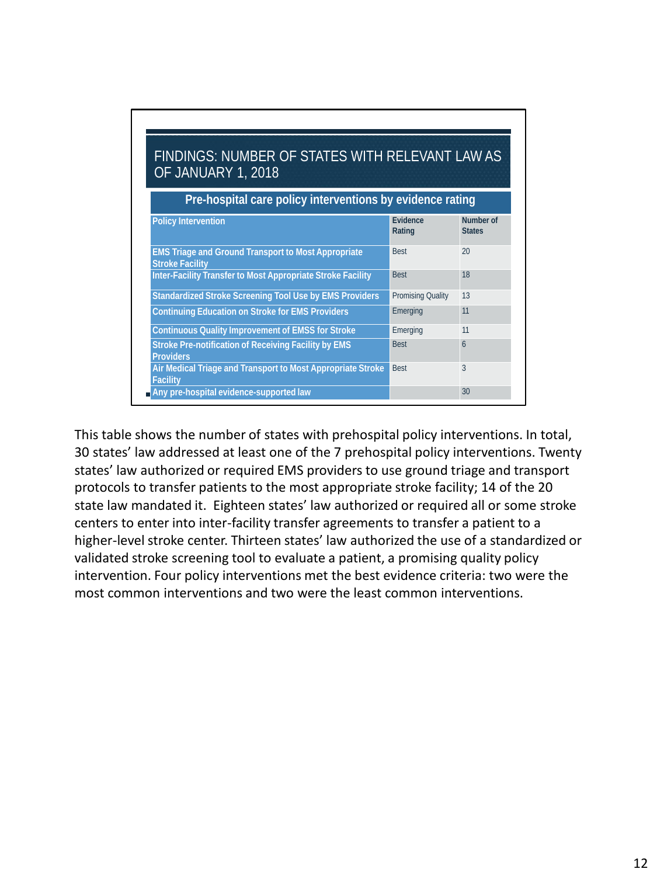| FINDINGS: NUMBER OF STATES WITH RELEVANT LAW AS<br>OF JANUARY 1, 2018<br>Pre-hospital care policy interventions by evidence rating |                   |    |  |
|------------------------------------------------------------------------------------------------------------------------------------|-------------------|----|--|
|                                                                                                                                    |                   |    |  |
| EMS Triage and Ground Transport to Most Appropriate<br><b>Stroke Facility</b>                                                      | <b>Best</b>       | 20 |  |
| Inter-Facility Transfer to Most Appropriate Stroke Facility                                                                        | <b>Best</b>       | 18 |  |
| Standardized Stroke Screening Tool Use by EMS Providers                                                                            | Promising Quality | 13 |  |
| Continuing Education on Stroke for EMS Providers                                                                                   | Emerging          | 11 |  |
| Continuous Quality Improvement of EMSS for Stroke                                                                                  | Emerging          | 11 |  |
| Stroke Pre-notification of Receiving Facility by EMS<br>Providers                                                                  | <b>Best</b>       | 6  |  |
| Air Medical Triage and Transport to Most Appropriate Stroke<br>Facility                                                            | <b>Best</b>       | 3  |  |
| Any pre-hospital evidence-supported law                                                                                            |                   | 30 |  |

This table shows the number of states with prehospital policy interventions. In total, 30 states' law addressed at least one of the 7 prehospital policy interventions. Twenty states' law authorized or required EMS providers to use ground triage and transport protocols to transfer patients to the most appropriate stroke facility; 14 of the 20 state law mandated it. Eighteen states' law authorized or required all or some stroke centers to enter into inter-facility transfer agreements to transfer a patient to a higher-level stroke center. Thirteen states' law authorized the use of a standardized or validated stroke screening tool to evaluate a patient, a promising quality policy intervention. Four policy interventions met the best evidence criteria: two were the most common interventions and two were the least common interventions.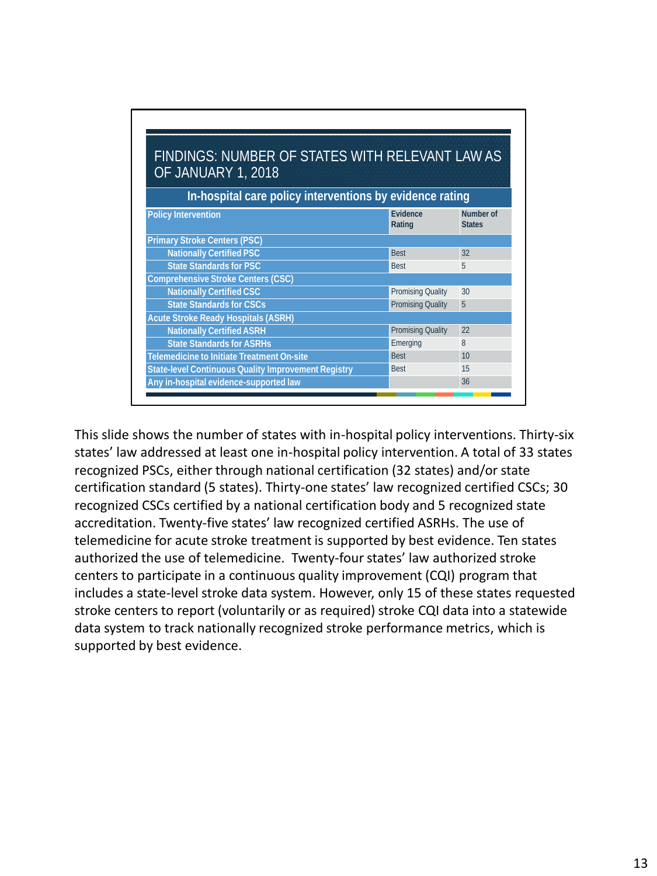| FINDINGS: NUMBER OF STATES WITH RELEVANT LAW AS<br>OF JANUARY 1, 2018<br>In-hospital care policy interventions by evidence rating |                   |    |  |  |                              |                    |                            |
|-----------------------------------------------------------------------------------------------------------------------------------|-------------------|----|--|--|------------------------------|--------------------|----------------------------|
|                                                                                                                                   |                   |    |  |  | Policy Intervention          | Evidence<br>Rating | Number of<br><b>States</b> |
|                                                                                                                                   |                   |    |  |  | Primary Stroke Centers (PSC) |                    |                            |
| Nationally Certified PSC                                                                                                          | <b>Best</b>       | 32 |  |  |                              |                    |                            |
| <b>State Standards for PSC</b>                                                                                                    | <b>Best</b>       | 5  |  |  |                              |                    |                            |
| Comprehensive Stroke Centers (CSC)                                                                                                |                   |    |  |  |                              |                    |                            |
| Nationally Certified CSC                                                                                                          | Promising Quality | 30 |  |  |                              |                    |                            |
| <b>State Standards for CSCs</b>                                                                                                   | Promising Quality | 5  |  |  |                              |                    |                            |
| Acute Stroke Ready Hospitals (ASRH)                                                                                               |                   |    |  |  |                              |                    |                            |
| <b>Nationally Certified ASRH</b>                                                                                                  | Promising Quality | 22 |  |  |                              |                    |                            |
| <b>State Standards for ASRHs</b>                                                                                                  | Emerging          | 8  |  |  |                              |                    |                            |
| Telemedicine to Initiate Treatment On-site                                                                                        | <b>Best</b>       | 10 |  |  |                              |                    |                            |
| State-level Continuous Quality Improvement Registry                                                                               | <b>Best</b>       | 15 |  |  |                              |                    |                            |
| Any in-hospital evidence-supported law                                                                                            |                   | 36 |  |  |                              |                    |                            |

This slide shows the number of states with in-hospital policy interventions. Thirty-six states' law addressed at least one in-hospital policy intervention. A total of 33 states recognized PSCs, either through national certification (32 states) and/or state certification standard (5 states). Thirty-one states' law recognized certified CSCs; 30 recognized CSCs certified by a national certification body and 5 recognized state accreditation. Twenty-five states' law recognized certified ASRHs. The use of telemedicine for acute stroke treatment is supported by best evidence. Ten states authorized the use of telemedicine. Twenty-four states' law authorized stroke centers to participate in a continuous quality improvement (CQI) program that includes a state-level stroke data system. However, only 15 of these states requested stroke centers to report (voluntarily or as required) stroke CQI data into a statewide data system to track nationally recognized stroke performance metrics, which is supported by best evidence.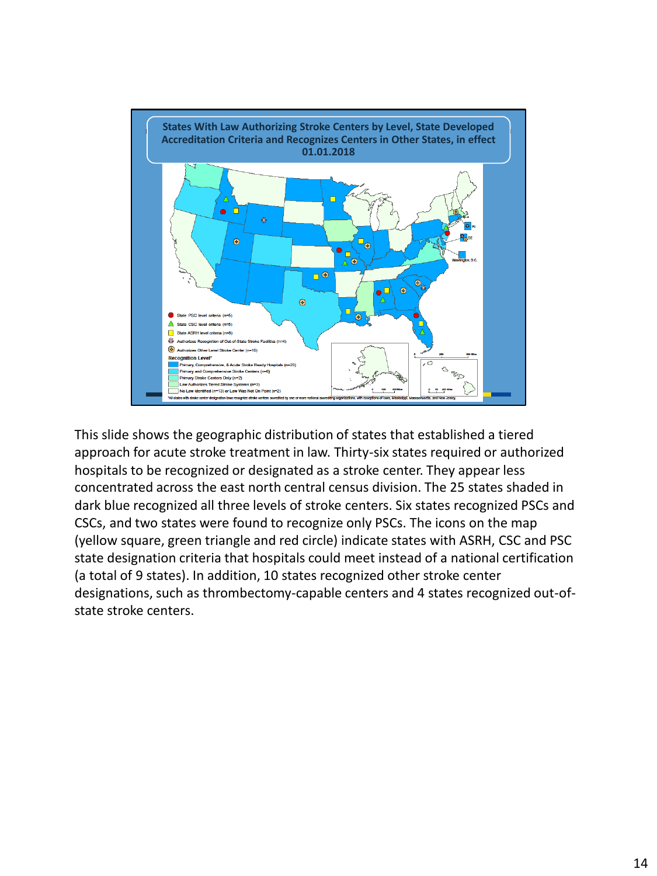

This slide shows the geographic distribution of states that established a tiered approach for acute stroke treatment in law. Thirty-six states required or authorized hospitals to be recognized or designated as a stroke center. They appear less concentrated across the east north central census division. The 25 states shaded in dark blue recognized all three levels of stroke centers. Six states recognized PSCs and CSCs, and two states were found to recognize only PSCs. The icons on the map (yellow square, green triangle and red circle) indicate states with ASRH, CSC and PSC state designation criteria that hospitals could meet instead of a national certification (a total of 9 states). In addition, 10 states recognized other stroke center designations, such as thrombectomy-capable centers and 4 states recognized out-ofstate stroke centers.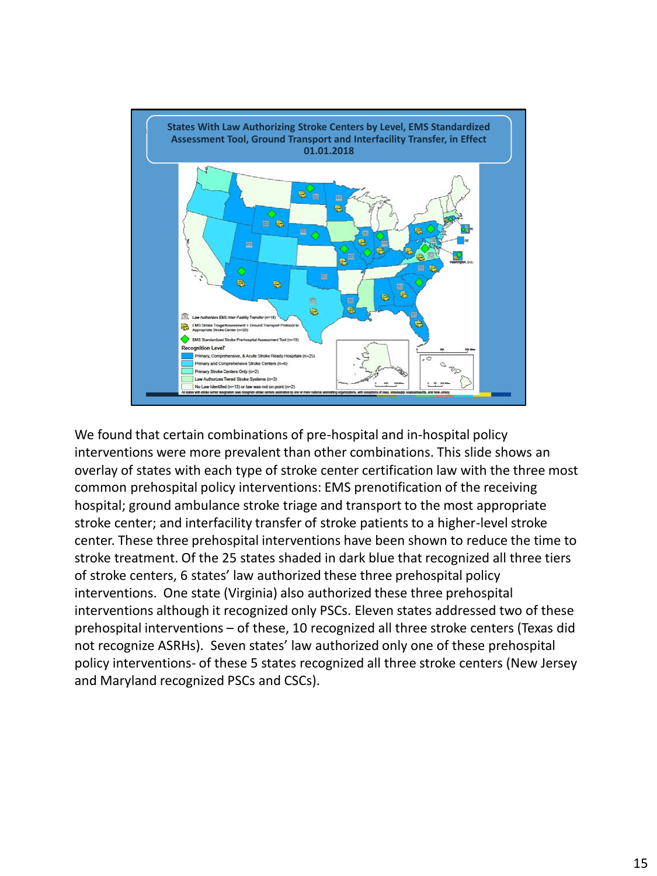

We found that certain combinations of pre-hospital and in-hospital policy interventions were more prevalent than other combinations. This slide shows an overlay of states with each type of stroke center certification law with the three most common prehospital policy interventions: EMS prenotification of the receiving hospital; ground ambulance stroke triage and transport to the most appropriate stroke center; and interfacility transfer of stroke patients to a higher-level stroke center. These three prehospital interventions have been shown to reduce the time to stroke treatment. Of the 25 states shaded in dark blue that recognized all three tiers of stroke centers, 6 states' law authorized these three prehospital policy interventions. One state (Virginia) also authorized these three prehospital interventions although it recognized only PSCs. Eleven states addressed two of these prehospital interventions – of these, 10 recognized all three stroke centers (Texas did not recognize ASRHs). Seven states' law authorized only one of these prehospital policy interventions- of these 5 states recognized all three stroke centers (New Jersey and Maryland recognized PSCs and CSCs).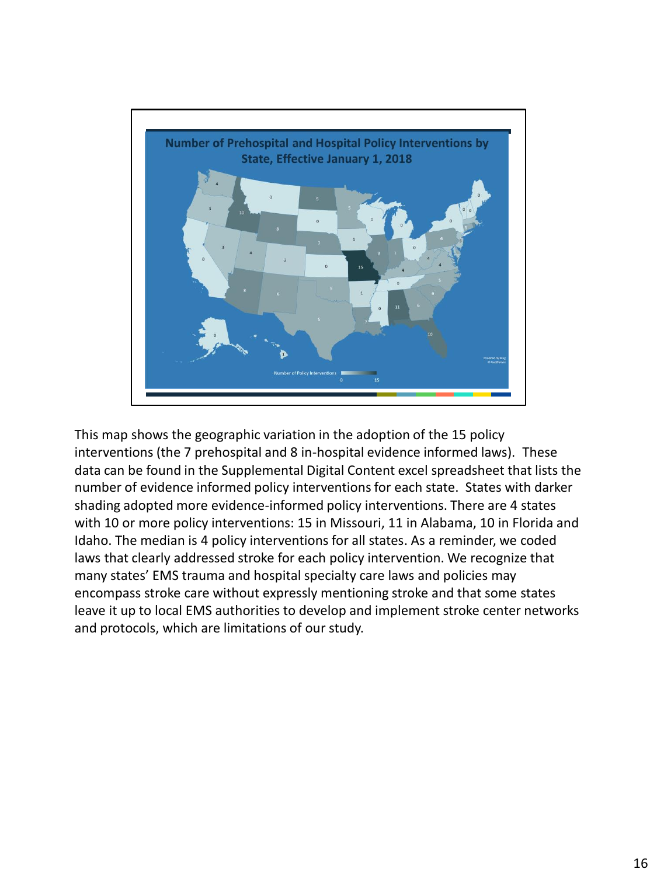

This map shows the geographic variation in the adoption of the 15 policy interventions (the 7 prehospital and 8 in-hospital evidence informed laws). These data can be found in the Supplemental Digital Content excel spreadsheet that lists the number of evidence informed policy interventions for each state. States with darker shading adopted more evidence-informed policy interventions. There are 4 states with 10 or more policy interventions: 15 in Missouri, 11 in Alabama, 10 in Florida and Idaho. The median is 4 policy interventions for all states. As a reminder, we coded laws that clearly addressed stroke for each policy intervention. We recognize that many states' EMS trauma and hospital specialty care laws and policies may encompass stroke care without expressly mentioning stroke and that some states leave it up to local EMS authorities to develop and implement stroke center networks and protocols, which are limitations of our study.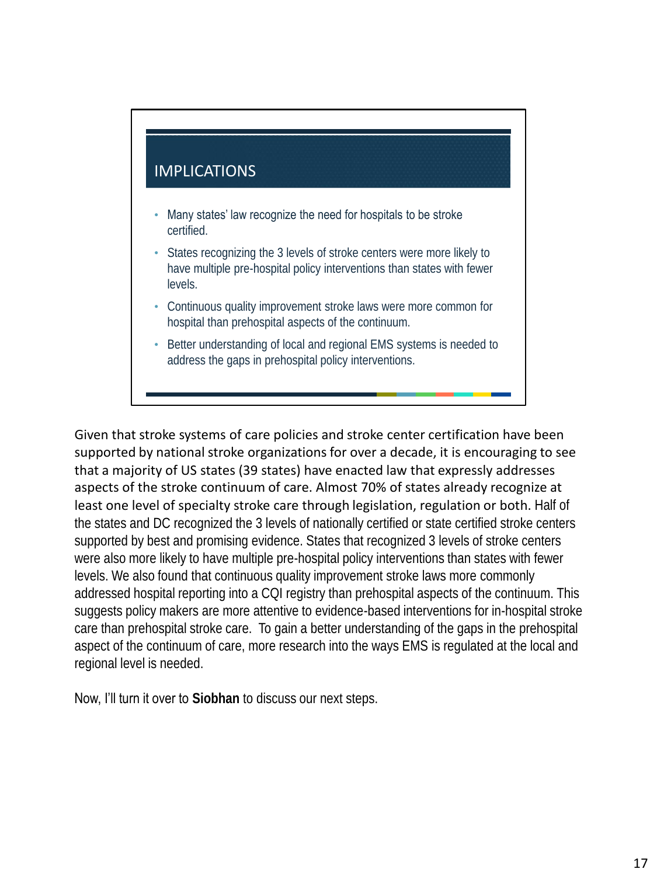# IMPLICATIONS

- Many states' law recognize the need for hospitals to be stroke certified.
- States recognizing the 3 levels of stroke centers were more likely to have multiple pre-hospital policy interventions than states with fewer levels.
- Continuous quality improvement stroke laws were more common for hospital than prehospital aspects of the continuum.
- Better understanding of local and regional EMS systems is needed to address the gaps in prehospital policy interventions.

Given that stroke systems of care policies and stroke center certification have been supported by national stroke organizations for over a decade, it is encouraging to see that a majority of US states (39 states) have enacted law that expressly addresses aspects of the stroke continuum of care. Almost 70% of states already recognize at least one level of specialty stroke care through legislation, regulation or both. Half of the states and DC recognized the 3 levels of nationally certified or state certified stroke centers supported by best and promising evidence. States that recognized 3 levels of stroke centers were also more likely to have multiple pre-hospital policy interventions than states with fewer levels. We also found that continuous quality improvement stroke laws more commonly addressed hospital reporting into a CQI registry than prehospital aspects of the continuum. This suggests policy makers are more attentive to evidence-based interventions for in-hospital stroke care than prehospital stroke care. To gain a better understanding of the gaps in the prehospital aspect of the continuum of care, more research into the ways EMS is regulated at the local and regional level is needed.

Now, I'll turn it over to **Siobhan** to discuss our next steps.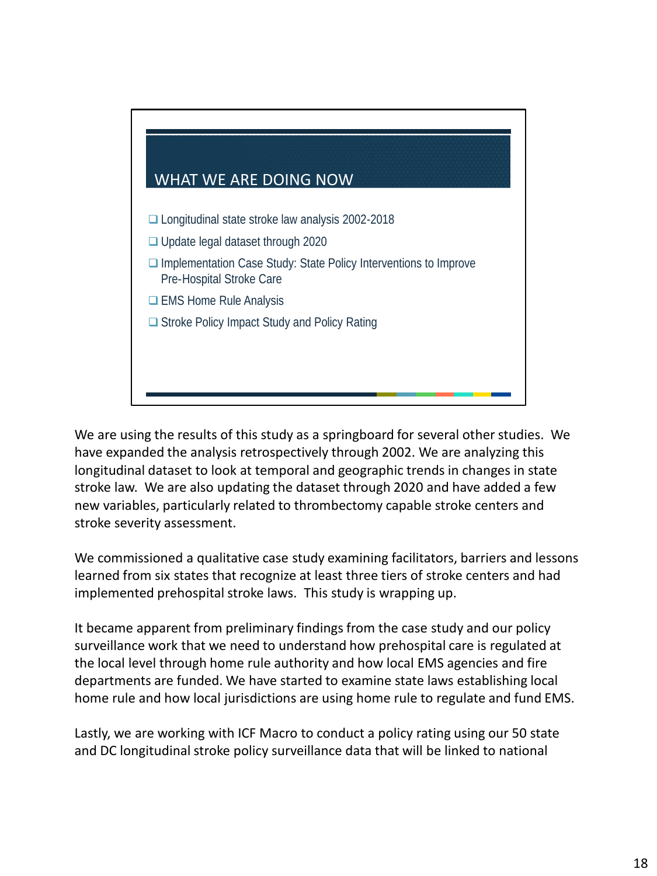

We are using the results of this study as a springboard for several other studies. We have expanded the analysis retrospectively through 2002. We are analyzing this longitudinal dataset to look at temporal and geographic trends in changes in state stroke law. We are also updating the dataset through 2020 and have added a few new variables, particularly related to thrombectomy capable stroke centers and stroke severity assessment.

We commissioned a qualitative case study examining facilitators, barriers and lessons learned from six states that recognize at least three tiers of stroke centers and had implemented prehospital stroke laws. This study is wrapping up.

It became apparent from preliminary findings from the case study and our policy surveillance work that we need to understand how prehospital care is regulated at the local level through home rule authority and how local EMS agencies and fire departments are funded. We have started to examine state laws establishing local home rule and how local jurisdictions are using home rule to regulate and fund EMS.

Lastly, we are working with ICF Macro to conduct a policy rating using our 50 state and DC longitudinal stroke policy surveillance data that will be linked to national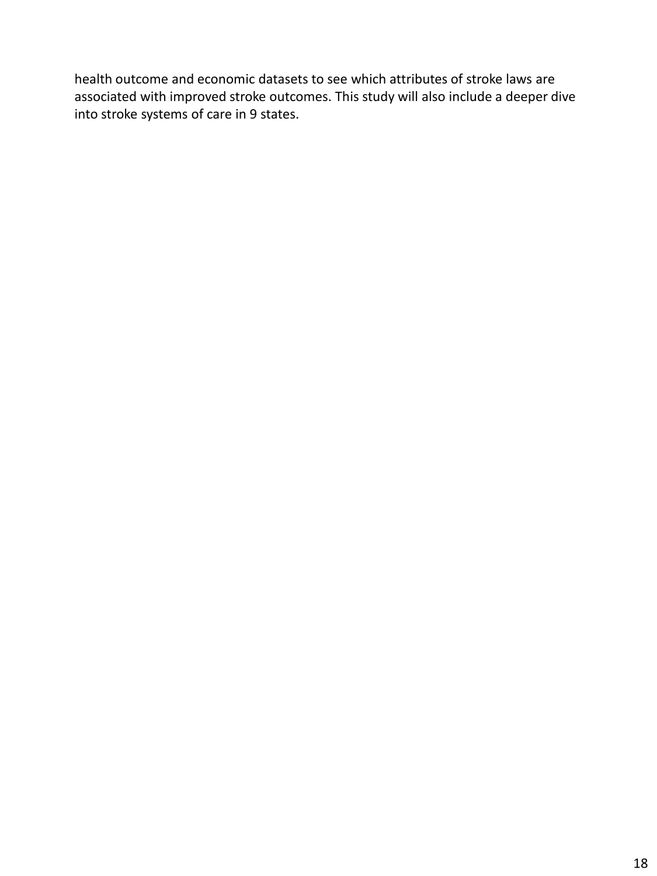health outcome and economic datasets to see which attributes of stroke laws are associated with improved stroke outcomes. This study will also include a deeper dive into stroke systems of care in 9 states.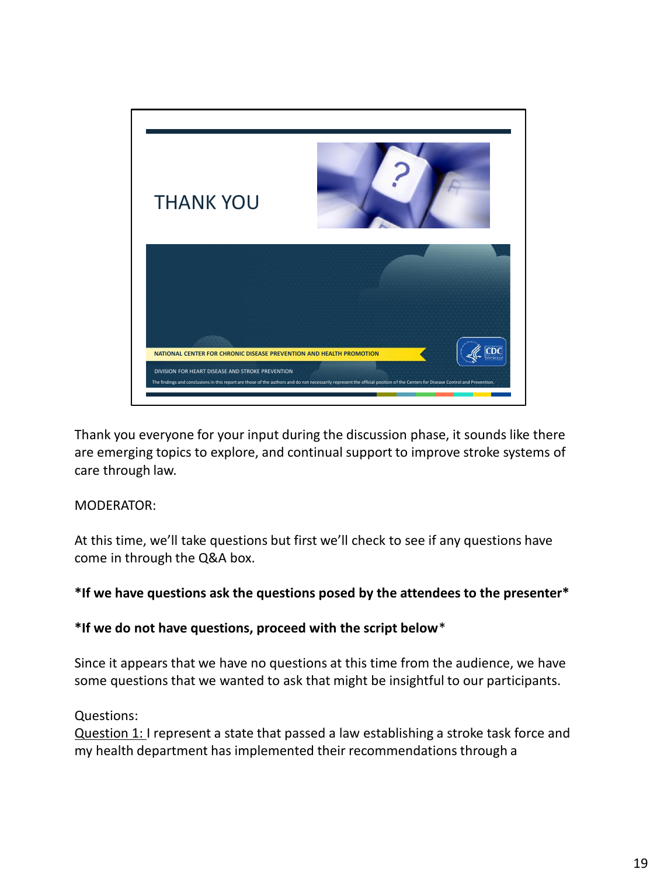

Thank you everyone for your input during the discussion phase, it sounds like there are emerging topics to explore, and continual support to improve stroke systems of care through law.

MODERATOR:

At this time, we'll take questions but first we'll check to see if any questions have come in through the Q&A box.

### **\*If we have questions ask the questions posed by the attendees to the presenter\***

**\*If we do not have questions, proceed with the script below**\*

Since it appears that we have no questions at this time from the audience, we have some questions that we wanted to ask that might be insightful to our participants.

### Questions:

Question 1: I represent a state that passed a law establishing a stroke task force and my health department has implemented their recommendations through a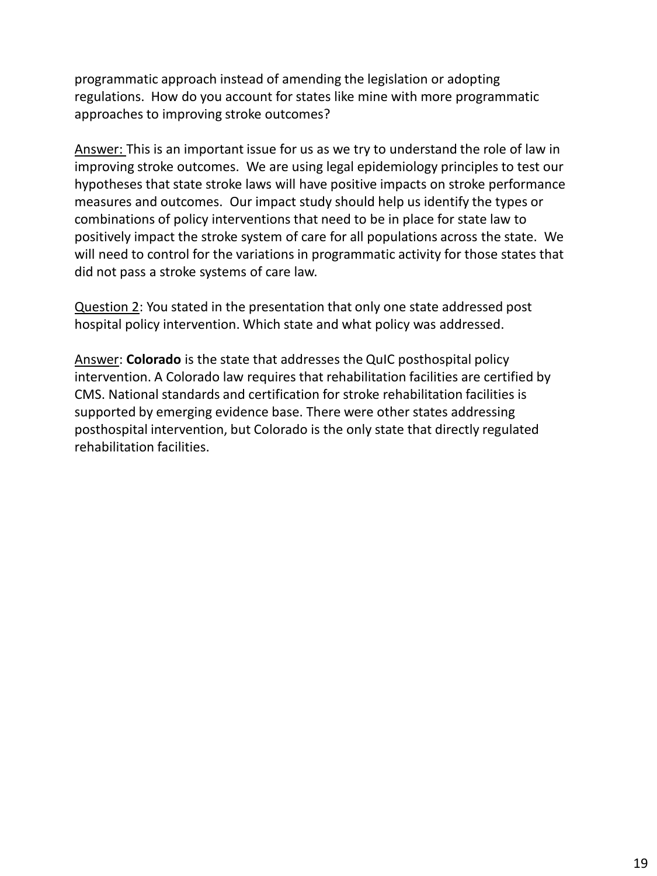programmatic approach instead of amending the legislation or adopting regulations. How do you account for states like mine with more programmatic approaches to improving stroke outcomes?

Answer: This is an important issue for us as we try to understand the role of law in improving stroke outcomes. We are using legal epidemiology principles to test our hypotheses that state stroke laws will have positive impacts on stroke performance measures and outcomes. Our impact study should help us identify the types or combinations of policy interventions that need to be in place for state law to positively impact the stroke system of care for all populations across the state. We will need to control for the variations in programmatic activity for those states that did not pass a stroke systems of care law.

Question 2: You stated in the presentation that only one state addressed post hospital policy intervention. Which state and what policy was addressed.

Answer: **Colorado** is the state that addresses the QuIC posthospital policy intervention. A Colorado law requires that rehabilitation facilities are certified by CMS. National standards and certification for stroke rehabilitation facilities is supported by emerging evidence base. There were other states addressing posthospital intervention, but Colorado is the only state that directly regulated rehabilitation facilities.